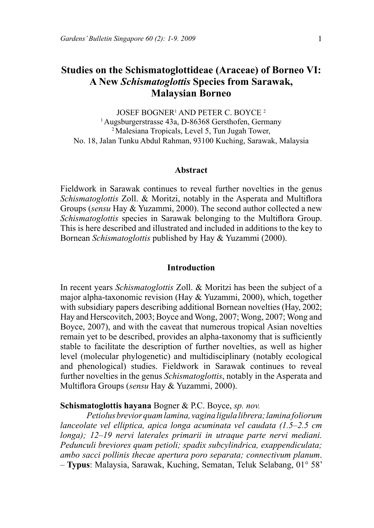# **Studies on the Schismatoglottideae (Araceae) of Borneo VI: A New** *Schismatoglottis* **Species from Sarawak, Malaysian Borneo**

JOSEF BOGNER<sup>1</sup> AND PETER C. BOYCE<sup>2</sup> <sup>1</sup> Augsburgerstrasse 43a, D-86368 Gersthofen, Germany <sup>2</sup> Malesiana Tropicals, Level 5, Tun Jugah Tower, No. 18, Jalan Tunku Abdul Rahman, 93100 Kuching, Sarawak, Malaysia

### **Abstract**

Fieldwork in Sarawak continues to reveal further novelties in the genus *Schismatoglottis* Zoll. & Moritzi, notably in the Asperata and Multiflora Groups (*sensu* Hay & Yuzammi, 2000). The second author collected a new *Schismatoglottis* species in Sarawak belonging to the Multiflora Group. This is here described and illustrated and included in additions to the key to Bornean *Schismatoglottis* published by Hay & Yuzammi (2000).

# **Introduction**

In recent years *Schismatoglottis* Zoll. & Moritzi has been the subject of a major alpha-taxonomic revision (Hay & Yuzammi, 2000), which, together with subsidiary papers describing additional Bornean novelties (Hay, 2002; Hay and Herscovitch, 2003; Boyce and Wong, 2007; Wong, 2007; Wong and Boyce, 2007), and with the caveat that numerous tropical Asian novelties remain yet to be described, provides an alpha-taxonomy that is sufficiently stable to facilitate the description of further novelties, as well as higher level (molecular phylogenetic) and multidisciplinary (notably ecological and phenological) studies. Fieldwork in Sarawak continues to reveal further novelties in the genus *Schismatoglottis*, notably in the Asperata and Multiflora Groups (*sensu* Hay & Yuzammi, 2000).

#### **Schismatoglottis hayana** Bogner & P.C. Boyce, *sp. nov.*

*Petiolus brevior quam lamina, vagina ligula librera; lamina foliorum lanceolate vel elliptica, apica longa acuminata vel caudata (1.5–2.5 cm longa); 12–19 nervi laterales primarii in utraque parte nervi mediani. Pedunculi breviores quam petioli; spadix subcylindrica, exappendiculata; ambo sacci pollinis thecae apertura poro separata; connectivum planum*. – **Typus**: Malaysia, Sarawak, Kuching, Sematan, Teluk Selabang, 01° 58'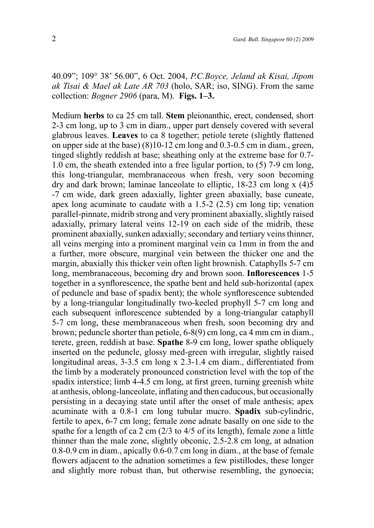40.09"; 109° 38' 56.00", 6 Oct. 2004, *P.C.Boyce, Jeland ak Kisai, Jipom ak Tisai & Mael ak Late AR 703* (holo, SAR; iso, SING). From the same collection: *Bogner 2906* (para, M). **Figs. 1–3.**

Medium **herbs** to ca 25 cm tall. **Stem** pleionanthic, erect, condensed, short 2-3 cm long, up to 3 cm in diam., upper part densely covered with several glabrous leaves. **Leaves** to ca 8 together; petiole terete (slightly flattened on upper side at the base) (8)10-12 cm long and 0.3-0.5 cm in diam., green, tinged slightly reddish at base; sheathing only at the extreme base for 0.7- 1.0 cm, the sheath extended into a free ligular portion, to (5) 7-9 cm long, this long-triangular, membranaceous when fresh, very soon becoming dry and dark brown; laminae lanceolate to elliptic, 18-23 cm long x (4)5 -7 cm wide, dark green adaxially, lighter green abaxially, base cuneate, apex long acuminate to caudate with a 1.5-2 (2.5) cm long tip; venation parallel-pinnate, midrib strong and very prominent abaxially, slightly raised adaxially, primary lateral veins 12-19 on each side of the midrib, these prominent abaxially, sunken adaxially; secondary and tertiary veins thinner, all veins merging into a prominent marginal vein ca 1mm in from the and a further, more obscure, marginal vein between the thicker one and the margin, abaxially this thicker vein often light brownish. Cataphylls 5-7 cm long, membranaceous, becoming dry and brown soon. **Inflorescences** 1-5 together in a synflorescence, the spathe bent and held sub-horizontal (apex of peduncle and base of spadix bent); the whole synflorescence subtended by a long-triangular longitudinally two-keeled prophyll 5-7 cm long and each subsequent inflorescence subtended by a long-triangular cataphyll 5-7 cm long, these membranaceous when fresh, soon becoming dry and brown; peduncle shorter than petiole, 6-8(9) cm long, ca 4 mm cm in diam., terete, green, reddish at base. **Spathe** 8-9 cm long, lower spathe obliquely inserted on the peduncle, glossy med-green with irregular, slightly raised longitudinal areas, 3-3.5 cm long x 2.3-1.4 cm diam., differentiated from the limb by a moderately pronounced constriction level with the top of the spadix interstice; limb 4-4.5 cm long, at first green, turning greenish white at anthesis, oblong-lanceolate, inflating and then caducous, but occasionally persisting in a decaying state until after the onset of male anthesis; apex acuminate with a 0.8-1 cm long tubular mucro. **Spadix** sub-cylindric, fertile to apex, 6-7 cm long; female zone adnate basally on one side to the spathe for a length of ca 2 cm (2/3 to 4/5 of its length), female zone a little thinner than the male zone, slightly obconic, 2.5-2.8 cm long, at adnation 0.8-0.9 cm in diam., apically 0.6-0.7 cm long in diam., at the base of female flowers adjacent to the adnation sometimes a few pistillodes, these longer and slightly more robust than, but otherwise resembling, the gynoecia;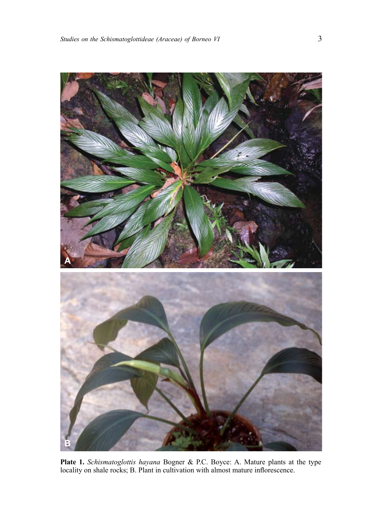

**Plate 1.** *Schismatoglottis hayana* Bogner & P.C. Boyce: A. Mature plants at the type locality on shale rocks; B. Plant in cultivation with almost mature inflorescence.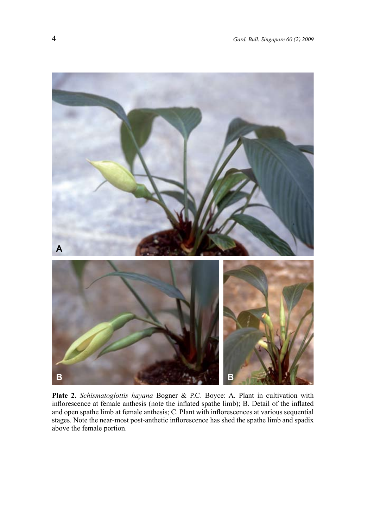

**Plate 2.** *Schismatoglottis hayana* Bogner & P.C. Boyce: A. Plant in cultivation with inflorescence at female anthesis (note the inflated spathe limb); B. Detail of the inflated and open spathe limb at female anthesis; C. Plant with inflorescences at various sequential stages. Note the near-most post-anthetic inflorescence has shed the spathe limb and spadix above the female portion.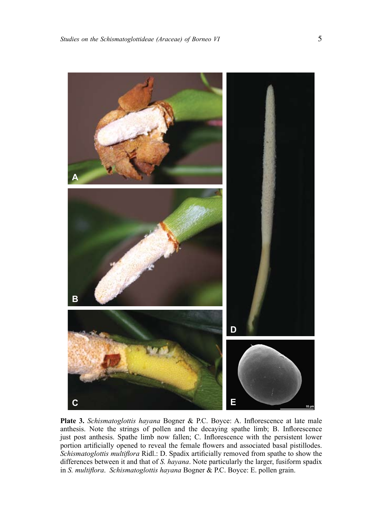

**Plate 3.** *Schismatoglottis hayana* Bogner & P.C. Boyce: A. Inflorescence at late male anthesis. Note the strings of pollen and the decaying spathe limb; B. Inflorescence just post anthesis. Spathe limb now fallen; C. Inflorescence with the persistent lower portion artificially opened to reveal the female flowers and associated basal pistillodes. *Schismatoglottis multiflora* Ridl.: D. Spadix artificially removed from spathe to show the differences between it and that of *S. hayana*. Note particularly the larger, fusiform spadix in *S. multiflora*. *Schismatoglottis hayana* Bogner & P.C. Boyce: E. pollen grain.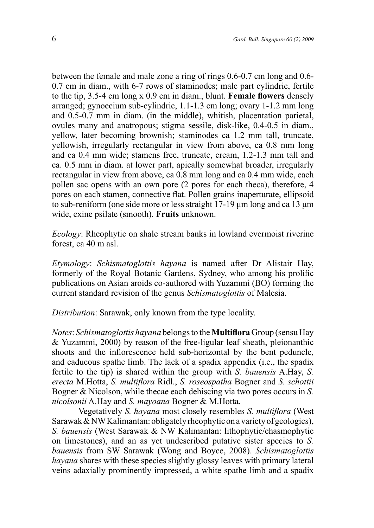between the female and male zone a ring of rings 0.6-0.7 cm long and 0.6- 0.7 cm in diam., with 6-7 rows of staminodes; male part cylindric, fertile to the tip, 3.5-4 cm long x 0.9 cm in diam., blunt. **Female flowers** densely arranged; gynoecium sub-cylindric, 1.1-1.3 cm long; ovary 1-1.2 mm long and 0.5-0.7 mm in diam. (in the middle), whitish, placentation parietal, ovules many and anatropous; stigma sessile, disk-like, 0.4-0.5 in diam., yellow, later becoming brownish; staminodes ca 1.2 mm tall, truncate, yellowish, irregularly rectangular in view from above, ca 0.8 mm long and ca 0.4 mm wide; stamens free, truncate, cream, 1.2-1.3 mm tall and ca. 0.5 mm in diam. at lower part, apically somewhat broader, irregularly rectangular in view from above, ca 0.8 mm long and ca 0.4 mm wide, each pollen sac opens with an own pore (2 pores for each theca), therefore, 4 pores on each stamen, connective flat. Pollen grains inaperturate, ellipsoid to sub-reniform (one side more or less straight 17-19 μm long and ca 13 μm wide, exine psilate (smooth). **Fruits** unknown.

*Ecology*: Rheophytic on shale stream banks in lowland evermoist riverine forest, ca 40 m asl.

*Etymology*: *Schismatoglottis hayana* is named after Dr Alistair Hay, formerly of the Royal Botanic Gardens, Sydney, who among his prolific publications on Asian aroids co-authored with Yuzammi (BO) forming the current standard revision of the genus *Schismatoglottis* of Malesia.

*Distribution*: Sarawak, only known from the type locality.

*Notes*: *Schismatoglottis hayana* belongs to the **Multiflora** Group (sensu Hay & Yuzammi, 2000) by reason of the free-ligular leaf sheath, pleionanthic shoots and the inflorescence held sub-horizontal by the bent peduncle, and caducous spathe limb. The lack of a spadix appendix (i.e., the spadix fertile to the tip) is shared within the group with *S. bauensis* A.Hay, *S. erecta* M.Hotta, *S. multiflora* Ridl., *S. roseospatha* Bogner and *S. schottii* Bogner & Nicolson, while thecae each dehiscing via two pores occurs in *S. nicolsonii* A.Hay and *S. mayoana* Bogner & M.Hotta.

Vegetatively *S. hayana* most closely resembles *S. multiflora* (West Sarawak & NW Kalimantan: obligately rheophytic on a variety of geologies), *S. bauensis* (West Sarawak & NW Kalimantan: lithophytic/chasmophytic on limestones), and an as yet undescribed putative sister species to *S. bauensis* from SW Sarawak (Wong and Boyce, 2008). *Schismatoglottis hayana* shares with these species slightly glossy leaves with primary lateral veins adaxially prominently impressed, a white spathe limb and a spadix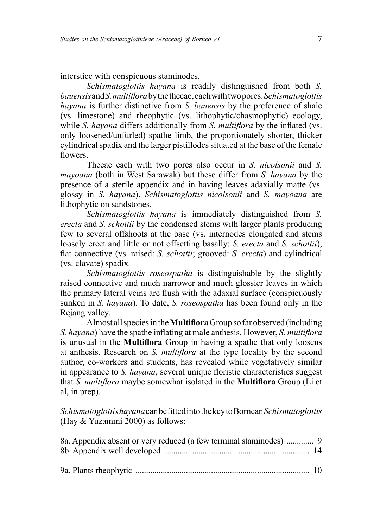interstice with conspicuous staminodes.

*Schismatoglottis hayana* is readily distinguished from both *S. bauensis* and *S. multiflora* by the thecae, each with two pores. *Schismatoglottis hayana* is further distinctive from *S. bauensis* by the preference of shale (vs. limestone) and rheophytic (vs. lithophytic/chasmophytic) ecology, while *S. hayana* differs additionally from *S. multiflora* by the inflated (vs. only loosened/unfurled) spathe limb, the proportionately shorter, thicker cylindrical spadix and the larger pistillodes situated at the base of the female flowers.

Thecae each with two pores also occur in *S. nicolsonii* and *S. mayoana* (both in West Sarawak) but these differ from *S. hayana* by the presence of a sterile appendix and in having leaves adaxially matte (vs. glossy in *S. hayana*). *Schismatoglottis nicolsonii* and *S. mayoana* are lithophytic on sandstones.

*Schismatoglottis hayana* is immediately distinguished from *S. erecta* and *S. schottii* by the condensed stems with larger plants producing few to several offshoots at the base (vs. internodes elongated and stems loosely erect and little or not offsetting basally: *S. erecta* and *S. schottii*), flat connective (vs. raised: *S. schottii*; grooved: *S. erecta*) and cylindrical (vs. clavate) spadix*.* 

*Schismatoglottis roseospatha* is distinguishable by the slightly raised connective and much narrower and much glossier leaves in which the primary lateral veins are flush with the adaxial surface (conspicuously sunken in *S*. *hayana*). To date, *S. roseospatha* has been found only in the Rejang valley.

Almost all species in the **Multiflora** Group so far observed (including *S. hayana*) have the spathe inflating at male anthesis. However, *S. multiflora* is unusual in the **Multiflora** Group in having a spathe that only loosens at anthesis. Research on *S. multiflora* at the type locality by the second author, co-workers and students, has revealed while vegetatively similar in appearance to *S. hayana*, several unique floristic characteristics suggest that *S. multiflora* maybe somewhat isolated in the **Multiflora** Group (Li et al, in prep).

*Schismatoglottis hayana* can be fitted into the key to Bornean *Schismatoglottis* (Hay & Yuzammi 2000) as follows: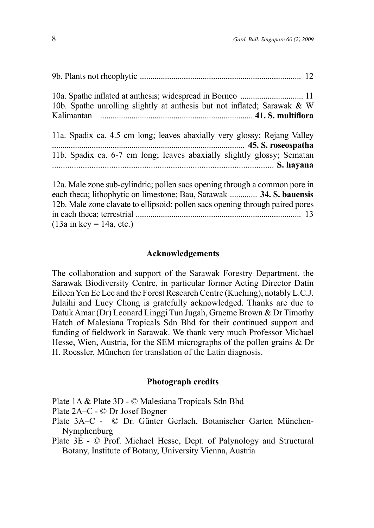| 10b. Spathe unrolling slightly at anthesis but not inflated; Sarawak & W                                                                                                                                                                                                         |
|----------------------------------------------------------------------------------------------------------------------------------------------------------------------------------------------------------------------------------------------------------------------------------|
| 11a. Spadix ca. 4.5 cm long; leaves abaxially very glossy; Rejang Valley                                                                                                                                                                                                         |
| 11b. Spadix ca. 6-7 cm long; leaves abaxially slightly glossy; Sematan                                                                                                                                                                                                           |
| 12a. Male zone sub-cylindric; pollen sacs opening through a common pore in<br>each theca; lithophytic on limestone; Bau, Sarawak  34. S. bauensis<br>12b. Male zone clavate to ellipsoid; pollen sacs opening through paired pores<br>$(13a \text{ in key} = 14a, \text{ etc.})$ |

# **Acknowledgements**

The collaboration and support of the Sarawak Forestry Department, the Sarawak Biodiversity Centre, in particular former Acting Director Datin Eileen Yen Ee Lee and the Forest Research Centre (Kuching), notably L.C.J. Julaihi and Lucy Chong is gratefully acknowledged. Thanks are due to Datuk Amar (Dr) Leonard Linggi Tun Jugah, Graeme Brown & Dr Timothy Hatch of Malesiana Tropicals Sdn Bhd for their continued support and funding of fieldwork in Sarawak. We thank very much Professor Michael Hesse, Wien, Austria, for the SEM micrographs of the pollen grains & Dr H. Roessler, München for translation of the Latin diagnosis.

# **Photograph credits**

- Plate 1A & Plate 3D © Malesiana Tropicals Sdn Bhd
- Plate 2A–C © Dr Josef Bogner
- Plate 3A–C © Dr. Günter Gerlach, Botanischer Garten München-Nymphenburg
- Plate 3E © Prof. Michael Hesse, Dept. of Palynology and Structural Botany, Institute of Botany, University Vienna, Austria